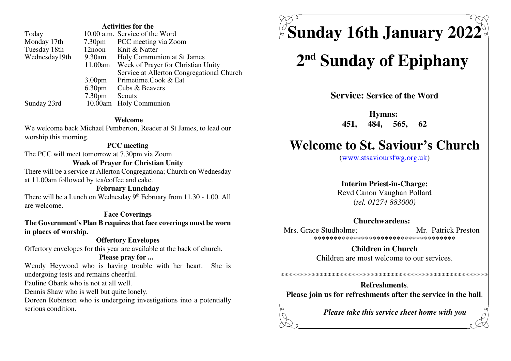#### **Activities for the**

| Today         |                    | 10.00 a.m. Service of the Word            |
|---------------|--------------------|-------------------------------------------|
| Monday 17th   | 7.30 <sub>pm</sub> | PCC meeting via Zoom                      |
| Tuesday 18th  | $12$ noon          | Knit & Natter                             |
| Wednesday19th | 9.30am             | Holy Communion at St James                |
|               | 11.00am            | Week of Prayer for Christian Unity        |
|               |                    | Service at Allerton Congregational Church |
|               | 3.00 <sub>pm</sub> | Primetime.Cook & Eat                      |
|               | 6.30 <sub>pm</sub> | Cubs & Beavers                            |
|               | 7.30 <sub>pm</sub> | Scouts                                    |
| Sunday 23rd   |                    | 10.00am Holy Communion                    |

#### Welcome

We welcome back Michael Pemberton, Reader at St James, to lead our worship this morning.

#### **PCC** meeting

The PCC will meet tomorrow at 7.30pm via Zoom

#### **Week of Prayer for Christian Unity**

There will be a service at Allerton Congregationa; Church on Wednesday at 11.00am followed by tea/coffee and cake.

#### **February Lunchday**

There will be a Lunch on Wednesday 9th February from 11.30 - 1.00. All are welcome.

#### **Face Coverings**

The Government's Plan B requires that face coverings must be worn in places of worship.

#### **Offertory Envelopes**

Offertory envelopes for this year are available at the back of church.

#### Please pray for ...

Wendy Heywood who is having trouble with her heart. She is undergoing tests and remains cheerful.

Pauline Obank who is not at all well.

Dennis Shaw who is well but quite lonely.

Doreen Robinson who is undergoing investigations into a potentially serious condition.

 $\%$ Sunday 16th January 2022 $^{\circ}$ 

# 2<sup>nd</sup> Sunday of Epiphany

**Service: Service of the Word** 

**Hymns:** 451. 484, 565, 62

# **Welcome to St. Saviour's Church**

(www.stsavioursfwg.org.uk)

#### **Interim Priest-in-Charge:**

Revd Canon Vaughan Pollard  $(tel. 01274 883000)$ 

#### Churchwardens:

Mrs. Grace Studholme: Mr. Patrick Preston \*\*\*\*\*\*\*\*\*\*\*\*\*\*\*\*\*\*\*\*\*\*\*\*\*\*\*\*\*\*\*\*\*\*\*\*\*

> **Children in Church** Children are most welcome to our services.

## **Refreshments** Please join us for refreshments after the service in the hall.

Please take this service sheet home with you